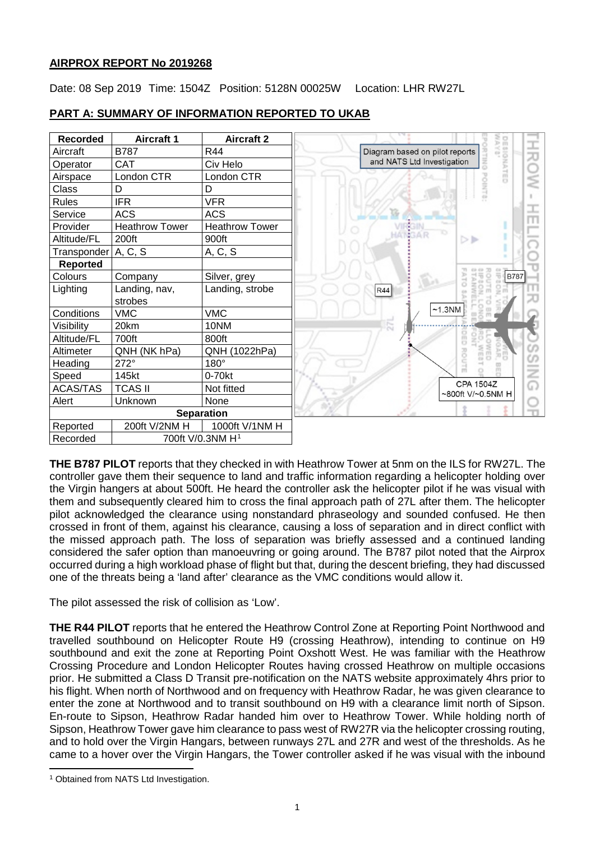# **AIRPROX REPORT No 2019268**

Date: 08 Sep 2019 Time: 1504Z Position: 5128N 00025W Location: LHR RW27L

| <b>Recorded</b>     | <b>Aircraft 1</b>            | <b>Aircraft 2</b>     |
|---------------------|------------------------------|-----------------------|
| Aircraft            | <b>B787</b>                  | R44                   |
| Operator            | <b>CAT</b>                   | Civ Helo              |
| Airspace            | London CTR                   | London CTR            |
| Class               | D                            | D                     |
| <b>Rules</b>        | <b>IFR</b>                   | <b>VFR</b>            |
| Service             | <b>ACS</b>                   | <b>ACS</b>            |
| Provider            | <b>Heathrow Tower</b>        | <b>Heathrow Tower</b> |
| Altitude/FL         | 200ft                        | 900ft                 |
| Transponder A, C, S |                              | A, C, S               |
| Reported            |                              |                       |
| Colours             | Company                      | Silver, grey          |
| Lighting            | Landing, nav,                | Landing, strobe       |
|                     | strobes                      |                       |
| Conditions          | <b>VMC</b>                   | <b>VMC</b>            |
| Visibility          | 20km                         | 10NM                  |
| Altitude/FL         | 700ft                        | 800ft                 |
| Altimeter           | QNH (NK hPa)                 | QNH (1022hPa)         |
| Heading             | 272°                         | $180^\circ$           |
| Speed               | 145kt                        | $0-70kt$              |
| <b>ACAS/TAS</b>     | <b>TCAS II</b>               | Not fitted            |
| Alert               | Unknown                      | None                  |
|                     |                              | <b>Separation</b>     |
| Reported            | 200ft V/2NM H                | 1000ft V/1NM H        |
| Recorded            | 700ft V/0.3NM H <sup>1</sup> |                       |

# **PART A: SUMMARY OF INFORMATION REPORTED TO UKAB**

**THE B787 PILOT** reports that they checked in with Heathrow Tower at 5nm on the ILS for RW27L. The controller gave them their sequence to land and traffic information regarding a helicopter holding over the Virgin hangers at about 500ft. He heard the controller ask the helicopter pilot if he was visual with them and subsequently cleared him to cross the final approach path of 27L after them. The helicopter pilot acknowledged the clearance using nonstandard phraseology and sounded confused. He then crossed in front of them, against his clearance, causing a loss of separation and in direct conflict with the missed approach path. The loss of separation was briefly assessed and a continued landing considered the safer option than manoeuvring or going around. The B787 pilot noted that the Airprox occurred during a high workload phase of flight but that, during the descent briefing, they had discussed one of the threats being a 'land after' clearance as the VMC conditions would allow it.

The pilot assessed the risk of collision as 'Low'.

**THE R44 PILOT** reports that he entered the Heathrow Control Zone at Reporting Point Northwood and travelled southbound on Helicopter Route H9 (crossing Heathrow), intending to continue on H9 southbound and exit the zone at Reporting Point Oxshott West. He was familiar with the Heathrow Crossing Procedure and London Helicopter Routes having crossed Heathrow on multiple occasions prior. He submitted a Class D Transit pre-notification on the NATS website approximately 4hrs prior to his flight. When north of Northwood and on frequency with Heathrow Radar, he was given clearance to enter the zone at Northwood and to transit southbound on H9 with a clearance limit north of Sipson. En-route to Sipson, Heathrow Radar handed him over to Heathrow Tower. While holding north of Sipson, Heathrow Tower gave him clearance to pass west of RW27R via the helicopter crossing routing, and to hold over the Virgin Hangars, between runways 27L and 27R and west of the thresholds. As he came to a hover over the Virgin Hangars, the Tower controller asked if he was visual with the inbound

<span id="page-0-0"></span>l <sup>1</sup> Obtained from NATS Ltd Investigation.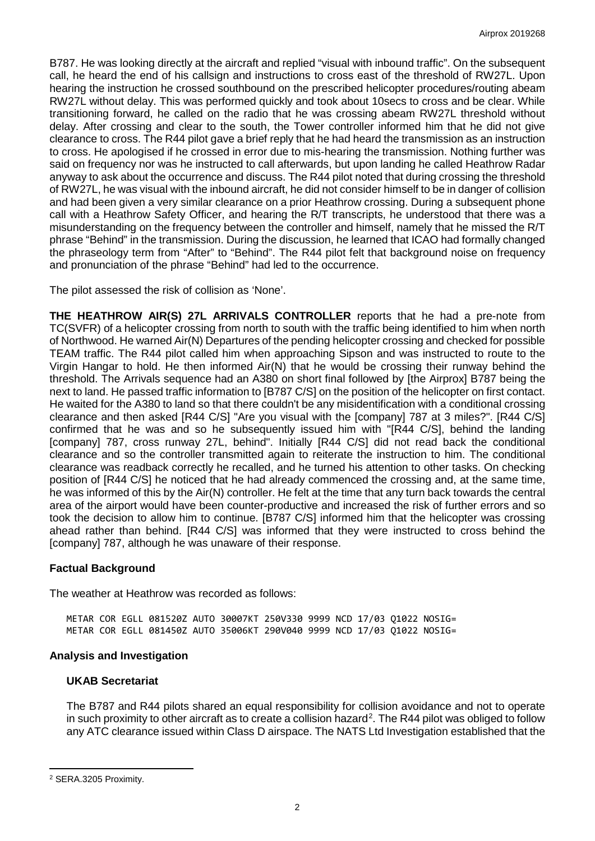B787. He was looking directly at the aircraft and replied "visual with inbound traffic". On the subsequent call, he heard the end of his callsign and instructions to cross east of the threshold of RW27L. Upon hearing the instruction he crossed southbound on the prescribed helicopter procedures/routing abeam RW27L without delay. This was performed quickly and took about 10secs to cross and be clear. While transitioning forward, he called on the radio that he was crossing abeam RW27L threshold without delay. After crossing and clear to the south, the Tower controller informed him that he did not give clearance to cross. The R44 pilot gave a brief reply that he had heard the transmission as an instruction to cross. He apologised if he crossed in error due to mis-hearing the transmission. Nothing further was said on frequency nor was he instructed to call afterwards, but upon landing he called Heathrow Radar anyway to ask about the occurrence and discuss. The R44 pilot noted that during crossing the threshold of RW27L, he was visual with the inbound aircraft, he did not consider himself to be in danger of collision and had been given a very similar clearance on a prior Heathrow crossing. During a subsequent phone call with a Heathrow Safety Officer, and hearing the R/T transcripts, he understood that there was a misunderstanding on the frequency between the controller and himself, namely that he missed the R/T phrase "Behind" in the transmission. During the discussion, he learned that ICAO had formally changed the phraseology term from "After" to "Behind". The R44 pilot felt that background noise on frequency and pronunciation of the phrase "Behind" had led to the occurrence.

The pilot assessed the risk of collision as 'None'.

**THE HEATHROW AIR(S) 27L ARRIVALS CONTROLLER** reports that he had a pre-note from TC(SVFR) of a helicopter crossing from north to south with the traffic being identified to him when north of Northwood. He warned Air(N) Departures of the pending helicopter crossing and checked for possible TEAM traffic. The R44 pilot called him when approaching Sipson and was instructed to route to the Virgin Hangar to hold. He then informed Air(N) that he would be crossing their runway behind the threshold. The Arrivals sequence had an A380 on short final followed by [the Airprox] B787 being the next to land. He passed traffic information to [B787 C/S] on the position of the helicopter on first contact. He waited for the A380 to land so that there couldn't be any misidentification with a conditional crossing clearance and then asked [R44 C/S] "Are you visual with the [company] 787 at 3 miles?". [R44 C/S] confirmed that he was and so he subsequently issued him with "[R44 C/S], behind the landing [company] 787, cross runway 27L, behind". Initially [R44 C/S] did not read back the conditional clearance and so the controller transmitted again to reiterate the instruction to him. The conditional clearance was readback correctly he recalled, and he turned his attention to other tasks. On checking position of [R44 C/S] he noticed that he had already commenced the crossing and, at the same time, he was informed of this by the Air(N) controller. He felt at the time that any turn back towards the central area of the airport would have been counter-productive and increased the risk of further errors and so took the decision to allow him to continue. [B787 C/S] informed him that the helicopter was crossing ahead rather than behind. [R44 C/S] was informed that they were instructed to cross behind the [company] 787, although he was unaware of their response.

# **Factual Background**

The weather at Heathrow was recorded as follows:

METAR COR EGLL 081520Z AUTO 30007KT 250V330 9999 NCD 17/03 01022 NOSIG= METAR COR EGLL 081450Z AUTO 35006KT 290V040 9999 NCD 17/03 Q1022 NOSIG=

### **Analysis and Investigation**

### **UKAB Secretariat**

The B787 and R44 pilots shared an equal responsibility for collision avoidance and not to operate in such proximity to other aircraft as to create a collision hazard<sup>[2](#page-1-0)</sup>. The R44 pilot was obliged to follow any ATC clearance issued within Class D airspace. The NATS Ltd Investigation established that the

l

<span id="page-1-0"></span><sup>2</sup> SERA.3205 Proximity.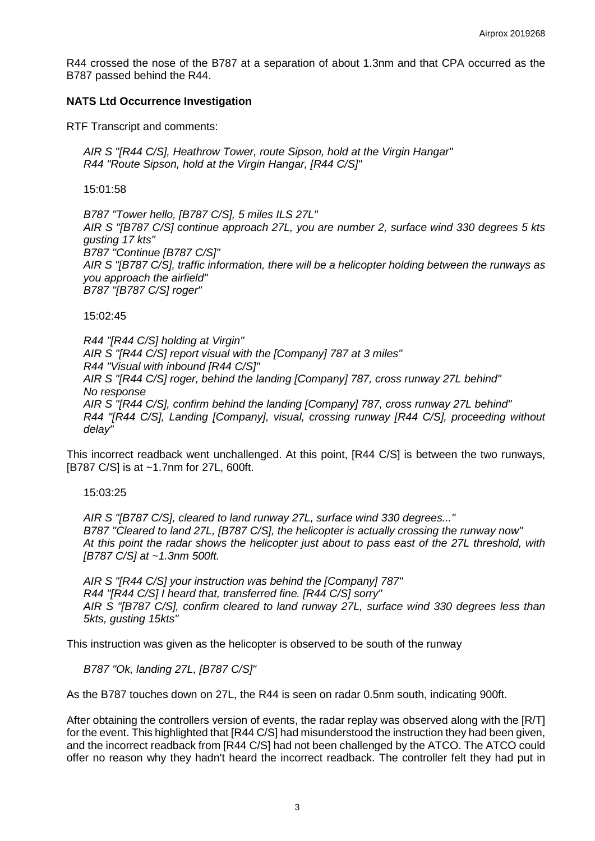R44 crossed the nose of the B787 at a separation of about 1.3nm and that CPA occurred as the B787 passed behind the R44.

## **NATS Ltd Occurrence Investigation**

RTF Transcript and comments:

*AIR S "[R44 C/S], Heathrow Tower, route Sipson, hold at the Virgin Hangar" R44 "Route Sipson, hold at the Virgin Hangar, [R44 C/S]"*

15:01:58

*B787 "Tower hello, [B787 C/S], 5 miles ILS 27L" AIR S "[B787 C/S] continue approach 27L, you are number 2, surface wind 330 degrees 5 kts gusting 17 kts" B787 "Continue [B787 C/S]" AIR S "[B787 C/S], traffic information, there will be a helicopter holding between the runways as you approach the airfield" B787 "[B787 C/S] roger"*

15:02:45

*R44 "[R44 C/S] holding at Virgin" AIR S "[R44 C/S] report visual with the [Company] 787 at 3 miles" R44 "Visual with inbound [R44 C/S]" AIR S "[R44 C/S] roger, behind the landing [Company] 787, cross runway 27L behind" No response AIR S "[R44 C/S], confirm behind the landing [Company] 787, cross runway 27L behind" R44 "[R44 C/S], Landing [Company], visual, crossing runway [R44 C/S], proceeding without delay"*

This incorrect readback went unchallenged. At this point, [R44 C/S] is between the two runways, [B787 C/S] is at ~1.7nm for 27L, 600ft.

15:03:25

*AIR S "[B787 C/S], cleared to land runway 27L, surface wind 330 degrees..." B787 "Cleared to land 27L, [B787 C/S], the helicopter is actually crossing the runway now" At this point the radar shows the helicopter just about to pass east of the 27L threshold, with [B787 C/S] at ~1.3nm 500ft.*

*AIR S "[R44 C/S] your instruction was behind the [Company] 787" R44 "[R44 C/S] I heard that, transferred fine. [R44 C/S] sorry" AIR S "[B787 C/S], confirm cleared to land runway 27L, surface wind 330 degrees less than 5kts, gusting 15kts"*

This instruction was given as the helicopter is observed to be south of the runway

*B787 "Ok, landing 27L, [B787 C/S]"*

As the B787 touches down on 27L, the R44 is seen on radar 0.5nm south, indicating 900ft.

After obtaining the controllers version of events, the radar replay was observed along with the [R/T] for the event. This highlighted that [R44 C/S] had misunderstood the instruction they had been given, and the incorrect readback from [R44 C/S] had not been challenged by the ATCO. The ATCO could offer no reason why they hadn't heard the incorrect readback. The controller felt they had put in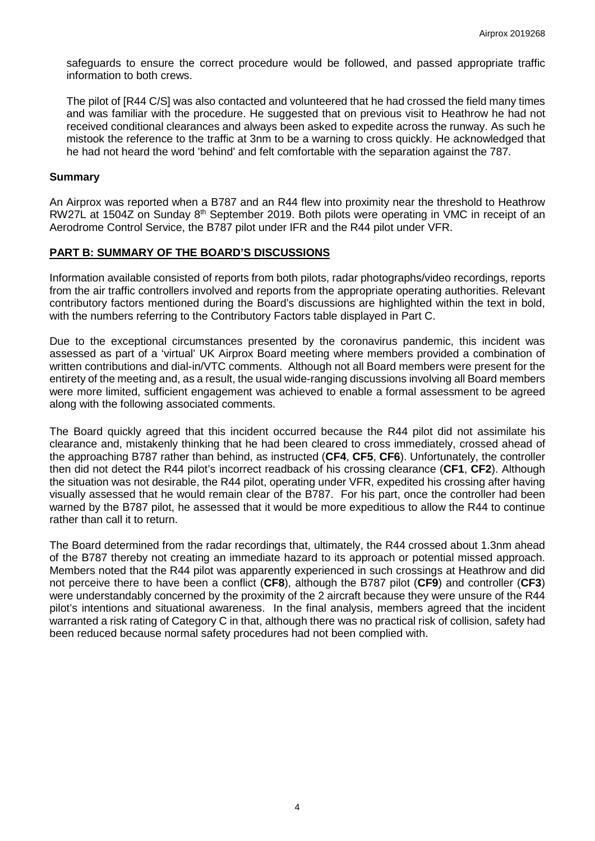safeguards to ensure the correct procedure would be followed, and passed appropriate traffic information to both crews.

The pilot of [R44 C/S] was also contacted and volunteered that he had crossed the field many times and was familiar with the procedure. He suggested that on previous visit to Heathrow he had not received conditional clearances and always been asked to expedite across the runway. As such he mistook the reference to the traffic at 3nm to be a warning to cross quickly. He acknowledged that he had not heard the word 'behind' and felt comfortable with the separation against the 787.

### **Summary**

An Airprox was reported when a B787 and an R44 flew into proximity near the threshold to Heathrow RW27L at 1504Z on Sunday 8<sup>th</sup> September 2019. Both pilots were operating in VMC in receipt of an Aerodrome Control Service, the B787 pilot under IFR and the R44 pilot under VFR.

## **PART B: SUMMARY OF THE BOARD'S DISCUSSIONS**

Information available consisted of reports from both pilots, radar photographs/video recordings, reports from the air traffic controllers involved and reports from the appropriate operating authorities. Relevant contributory factors mentioned during the Board's discussions are highlighted within the text in bold, with the numbers referring to the Contributory Factors table displayed in Part C.

Due to the exceptional circumstances presented by the coronavirus pandemic, this incident was assessed as part of a 'virtual' UK Airprox Board meeting where members provided a combination of written contributions and dial-in/VTC comments. Although not all Board members were present for the entirety of the meeting and, as a result, the usual wide-ranging discussions involving all Board members were more limited, sufficient engagement was achieved to enable a formal assessment to be agreed along with the following associated comments.

The Board quickly agreed that this incident occurred because the R44 pilot did not assimilate his clearance and, mistakenly thinking that he had been cleared to cross immediately, crossed ahead of the approaching B787 rather than behind, as instructed (**CF4**, **CF5**, **CF6**). Unfortunately, the controller then did not detect the R44 pilot's incorrect readback of his crossing clearance (**CF1**, **CF2**). Although the situation was not desirable, the R44 pilot, operating under VFR, expedited his crossing after having visually assessed that he would remain clear of the B787. For his part, once the controller had been warned by the B787 pilot, he assessed that it would be more expeditious to allow the R44 to continue rather than call it to return.

The Board determined from the radar recordings that, ultimately, the R44 crossed about 1.3nm ahead of the B787 thereby not creating an immediate hazard to its approach or potential missed approach. Members noted that the R44 pilot was apparently experienced in such crossings at Heathrow and did not perceive there to have been a conflict (**CF8**), although the B787 pilot (**CF9**) and controller (**CF3**) were understandably concerned by the proximity of the 2 aircraft because they were unsure of the R44 pilot's intentions and situational awareness. In the final analysis, members agreed that the incident warranted a risk rating of Category C in that, although there was no practical risk of collision, safety had been reduced because normal safety procedures had not been complied with.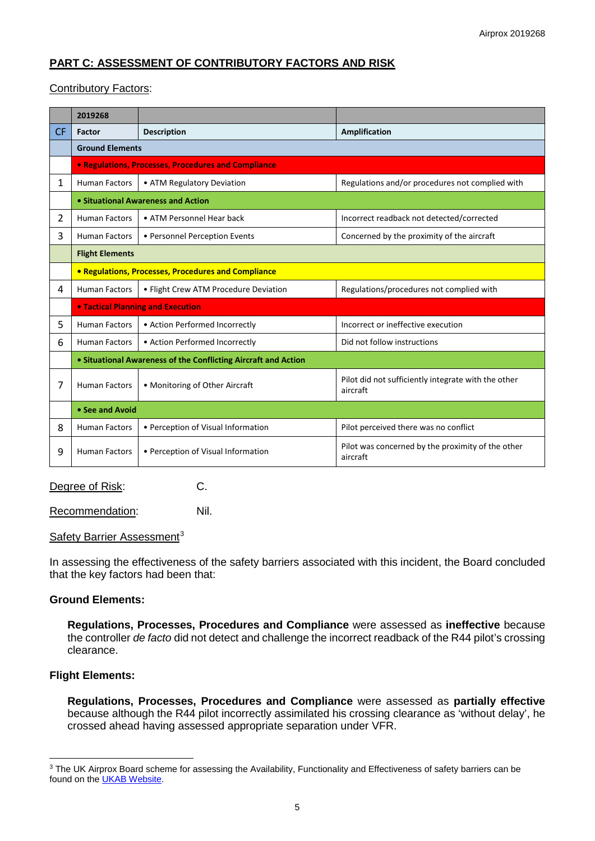# **PART C: ASSESSMENT OF CONTRIBUTORY FACTORS AND RISK**

# Contributory Factors:

|           | 2019268                                                        |                                       |                                                                 |  |  |
|-----------|----------------------------------------------------------------|---------------------------------------|-----------------------------------------------------------------|--|--|
| <b>CF</b> | Factor                                                         | <b>Description</b>                    | Amplification                                                   |  |  |
|           | <b>Ground Elements</b>                                         |                                       |                                                                 |  |  |
|           | <b>• Regulations, Processes, Procedures and Compliance</b>     |                                       |                                                                 |  |  |
| 1         | <b>Human Factors</b>                                           | • ATM Regulatory Deviation            | Regulations and/or procedures not complied with                 |  |  |
|           | • Situational Awareness and Action                             |                                       |                                                                 |  |  |
| 2         | <b>Human Factors</b>                                           | • ATM Personnel Hear back             | Incorrect readback not detected/corrected                       |  |  |
| 3         | <b>Human Factors</b>                                           | • Personnel Perception Events         | Concerned by the proximity of the aircraft                      |  |  |
|           | <b>Flight Elements</b>                                         |                                       |                                                                 |  |  |
|           | • Regulations, Processes, Procedures and Compliance            |                                       |                                                                 |  |  |
| 4         | <b>Human Factors</b>                                           | • Flight Crew ATM Procedure Deviation | Regulations/procedures not complied with                        |  |  |
|           | <b>. Tactical Planning and Execution</b>                       |                                       |                                                                 |  |  |
| 5         | <b>Human Factors</b>                                           | • Action Performed Incorrectly        | Incorrect or ineffective execution                              |  |  |
| 6         | <b>Human Factors</b>                                           | • Action Performed Incorrectly        | Did not follow instructions                                     |  |  |
|           | • Situational Awareness of the Conflicting Aircraft and Action |                                       |                                                                 |  |  |
| 7         | <b>Human Factors</b>                                           | • Monitoring of Other Aircraft        | Pilot did not sufficiently integrate with the other<br>aircraft |  |  |
|           | • See and Avoid                                                |                                       |                                                                 |  |  |
| 8         | <b>Human Factors</b>                                           | • Perception of Visual Information    | Pilot perceived there was no conflict                           |  |  |
| 9         | <b>Human Factors</b>                                           | • Perception of Visual Information    | Pilot was concerned by the proximity of the other<br>aircraft   |  |  |

Degree of Risk: C.

Recommendation: Nil.

### Safety Barrier Assessment<sup>[3](#page-4-0)</sup>

In assessing the effectiveness of the safety barriers associated with this incident, the Board concluded that the key factors had been that:

# **Ground Elements:**

**Regulations, Processes, Procedures and Compliance** were assessed as **ineffective** because the controller *de facto* did not detect and challenge the incorrect readback of the R44 pilot's crossing clearance.

# **Flight Elements:**

 $\overline{\phantom{a}}$ 

**Regulations, Processes, Procedures and Compliance** were assessed as **partially effective** because although the R44 pilot incorrectly assimilated his crossing clearance as 'without delay', he crossed ahead having assessed appropriate separation under VFR.

<span id="page-4-0"></span><sup>&</sup>lt;sup>3</sup> The UK Airprox Board scheme for assessing the Availability, Functionality and Effectiveness of safety barriers can be found on the **UKAB Website**.